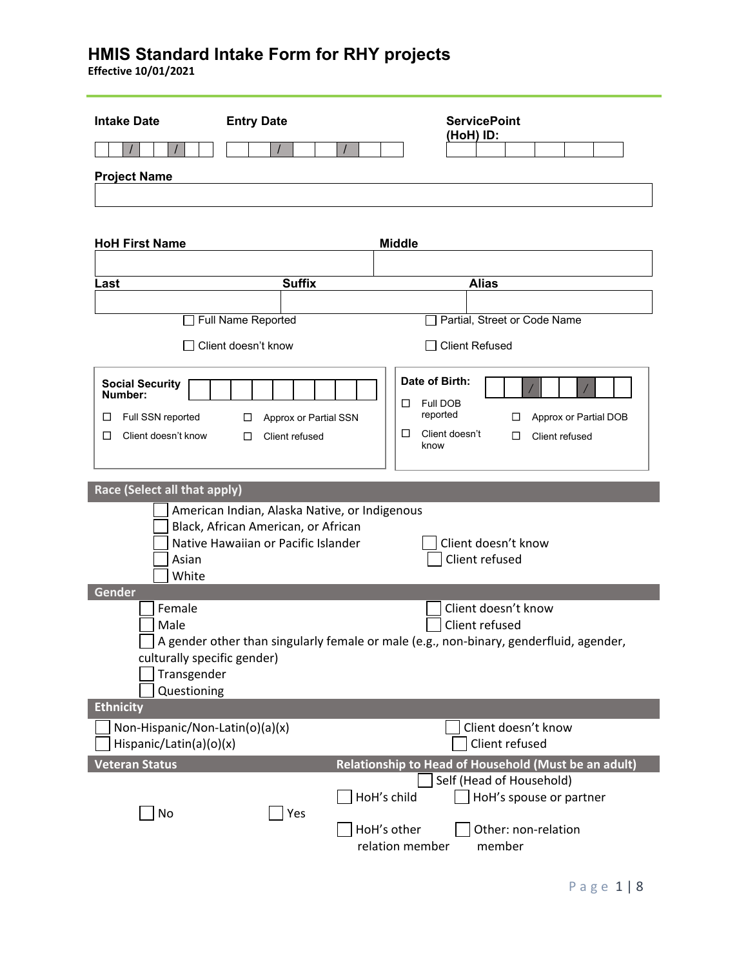| <b>Intake Date</b>                                                                           | <b>Entry Date</b>                                                          | <b>ServicePoint</b>                                                                                                                  |
|----------------------------------------------------------------------------------------------|----------------------------------------------------------------------------|--------------------------------------------------------------------------------------------------------------------------------------|
|                                                                                              |                                                                            | (HoH) ID:                                                                                                                            |
| <b>Project Name</b>                                                                          |                                                                            |                                                                                                                                      |
|                                                                                              |                                                                            |                                                                                                                                      |
|                                                                                              |                                                                            |                                                                                                                                      |
| <b>HoH First Name</b>                                                                        |                                                                            | <b>Middle</b>                                                                                                                        |
| Last                                                                                         | <b>Suffix</b>                                                              | <b>Alias</b>                                                                                                                         |
|                                                                                              | Full Name Reported                                                         | Partial, Street or Code Name                                                                                                         |
|                                                                                              |                                                                            |                                                                                                                                      |
|                                                                                              | $\Box$ Client doesn't know                                                 | <b>Client Refused</b>                                                                                                                |
| <b>Social Security</b><br>Number:<br>Full SSN reported<br>□<br>Client doesn't know<br>$\Box$ | Approx or Partial SSN<br>□<br>Client refused<br>$\Box$                     | Date of Birth:<br>Full DOB<br>ப<br>reported<br>Approx or Partial DOB<br>$\Box$<br>Client doesn't<br>□<br>Client refused<br>□<br>know |
| Race (Select all that apply)                                                                 | American Indian, Alaska Native, or Indigenous                              |                                                                                                                                      |
| Asian<br>White                                                                               | Black, African American, or African<br>Native Hawaiian or Pacific Islander | Client doesn't know<br>Client refused                                                                                                |
| Gender                                                                                       |                                                                            | Client doesn't know                                                                                                                  |
| Female<br>Male                                                                               |                                                                            | Client refused                                                                                                                       |
| culturally specific gender)<br>Transgender<br>Questioning                                    |                                                                            | A gender other than singularly female or male (e.g., non-binary, genderfluid, agender,                                               |
| <b>Ethnicity</b>                                                                             |                                                                            |                                                                                                                                      |
| Non-Hispanic/Non-Latin(o)(a)(x)<br>Hispanic/Latin(a)(o)(x)                                   |                                                                            | Client doesn't know<br>Client refused                                                                                                |
| <b>Veteran Status</b>                                                                        |                                                                            | Relationship to Head of Household (Must be an adult)                                                                                 |
| No                                                                                           | Yes                                                                        | Self (Head of Household)<br>HoH's child<br>HoH's spouse or partner<br>HoH's other<br>Other: non-relation                             |
|                                                                                              |                                                                            | relation member<br>member                                                                                                            |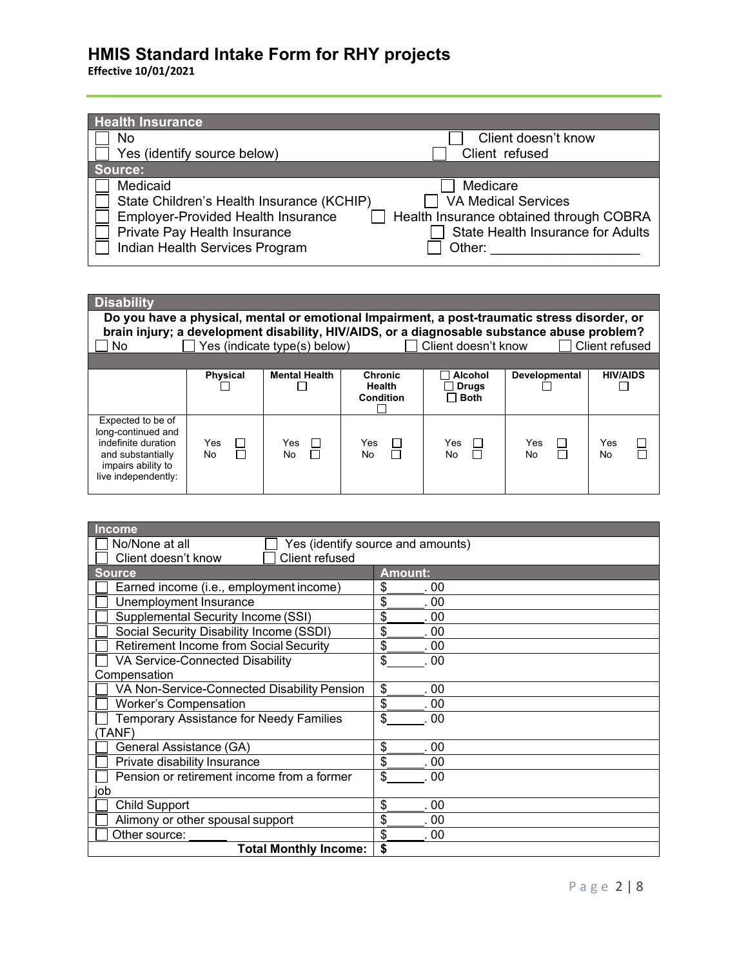| <b>Health Insurance</b>                   |                                          |
|-------------------------------------------|------------------------------------------|
| No                                        | Client doesn't know                      |
| Yes (identify source below)               | Client refused                           |
| Source:                                   |                                          |
| Medicaid                                  | Medicare                                 |
| State Children's Health Insurance (KCHIP) | <b>VA Medical Services</b>               |
| <b>Employer-Provided Health Insurance</b> | Health Insurance obtained through COBRA  |
| Private Pay Health Insurance              | <b>State Health Insurance for Adults</b> |
| Indian Health Services Program            | Other:                                   |

| <b>Disability</b>                                                                                                                                                                                                                                                           |                     |                      |                                       |                                               |                 |                 |
|-----------------------------------------------------------------------------------------------------------------------------------------------------------------------------------------------------------------------------------------------------------------------------|---------------------|----------------------|---------------------------------------|-----------------------------------------------|-----------------|-----------------|
| Do you have a physical, mental or emotional Impairment, a post-traumatic stress disorder, or<br>brain injury; a development disability, HIV/AIDS, or a diagnosable substance abuse problem?<br>Yes (indicate type(s) below)<br>Client refused<br>Client doesn't know<br>No. |                     |                      |                                       |                                               |                 |                 |
|                                                                                                                                                                                                                                                                             |                     |                      |                                       |                                               |                 |                 |
|                                                                                                                                                                                                                                                                             | <b>Physical</b>     | <b>Mental Health</b> | <b>Chronic</b><br>Health<br>Condition | <b>Alcohol</b><br><b>Drugs</b><br>$\Box$ Both | Developmental   | <b>HIV/AIDS</b> |
| Expected to be of<br>long-continued and<br>indefinite duration<br>and substantially<br>impairs ability to<br>live independently:                                                                                                                                            | Yes<br>□<br>П<br>No | Yes<br>No            | Yes<br>П<br><b>No</b>                 | Yes<br>No                                     | Yes<br>П<br>No. | Yes<br>No.      |

| <b>Income</b>                                       |                |  |  |
|-----------------------------------------------------|----------------|--|--|
| No/None at all<br>Yes (identify source and amounts) |                |  |  |
| Client refused<br>Client doesn't know               |                |  |  |
| <b>Source</b>                                       | <b>Amount:</b> |  |  |
| Earned income (i.e., employment income)             | \$<br>. 00     |  |  |
| Unemployment Insurance                              | \$<br>. 00     |  |  |
| Supplemental Security Income (SSI)                  | \$<br>. 00     |  |  |
| Social Security Disability Income (SSDI)            | \$<br>00       |  |  |
| <b>Retirement Income from Social Security</b>       | \$<br>.00      |  |  |
| VA Service-Connected Disability                     | \$<br>.00      |  |  |
| Compensation                                        |                |  |  |
| VA Non-Service-Connected Disability Pension         | \$<br>.00      |  |  |
| <b>Worker's Compensation</b>                        | \$<br>.00      |  |  |
| <b>Temporary Assistance for Needy Families</b>      | \$<br>. 00     |  |  |
| TANF)                                               |                |  |  |
| General Assistance (GA)                             | \$<br>00       |  |  |
| Private disability Insurance                        | \$<br>00       |  |  |
| Pension or retirement income from a former          | \$<br>.00      |  |  |
| job                                                 |                |  |  |
| <b>Child Support</b>                                | \$<br>. 00     |  |  |
| Alimony or other spousal support                    | \$<br>. 00     |  |  |
| Other source:                                       | \$<br>. 00     |  |  |
| <b>Total Monthly Income:</b>                        | \$             |  |  |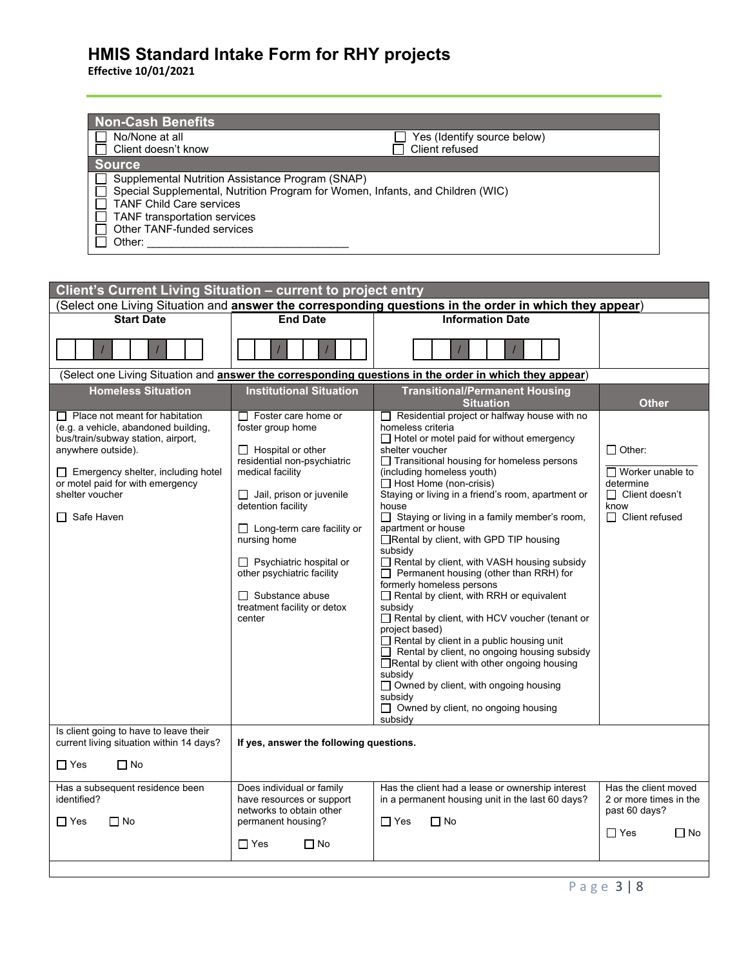| <b>Non-Cash Benefits</b>                                                       |                             |  |  |  |
|--------------------------------------------------------------------------------|-----------------------------|--|--|--|
| No/None at all                                                                 | Yes (Identify source below) |  |  |  |
| Client doesn't know                                                            | Client refused              |  |  |  |
| <b>Source</b>                                                                  |                             |  |  |  |
| Supplemental Nutrition Assistance Program (SNAP)                               |                             |  |  |  |
| Special Supplemental, Nutrition Program for Women, Infants, and Children (WIC) |                             |  |  |  |
| <b>TANF Child Care services</b>                                                |                             |  |  |  |
| <b>TANF</b> transportation services                                            |                             |  |  |  |
| Other TANF-funded services                                                     |                             |  |  |  |
| Other:                                                                         |                             |  |  |  |

| Client's Current Living Situation - current to project entry                                                                                                                                                                                                     |                                                                                                                                                                                                                                                                                                                                                                                 |                                                                                                                                                                                                                                                                                                                                                                                                                                                                                                                                                                                                                                                                                                                                                                                                                                                                                                                                                                                                            |                                                                                                                 |  |  |
|------------------------------------------------------------------------------------------------------------------------------------------------------------------------------------------------------------------------------------------------------------------|---------------------------------------------------------------------------------------------------------------------------------------------------------------------------------------------------------------------------------------------------------------------------------------------------------------------------------------------------------------------------------|------------------------------------------------------------------------------------------------------------------------------------------------------------------------------------------------------------------------------------------------------------------------------------------------------------------------------------------------------------------------------------------------------------------------------------------------------------------------------------------------------------------------------------------------------------------------------------------------------------------------------------------------------------------------------------------------------------------------------------------------------------------------------------------------------------------------------------------------------------------------------------------------------------------------------------------------------------------------------------------------------------|-----------------------------------------------------------------------------------------------------------------|--|--|
| (Select one Living Situation and answer the corresponding questions in the order in which they appear)                                                                                                                                                           |                                                                                                                                                                                                                                                                                                                                                                                 |                                                                                                                                                                                                                                                                                                                                                                                                                                                                                                                                                                                                                                                                                                                                                                                                                                                                                                                                                                                                            |                                                                                                                 |  |  |
| <b>Start Date</b>                                                                                                                                                                                                                                                | <b>End Date</b>                                                                                                                                                                                                                                                                                                                                                                 | <b>Information Date</b>                                                                                                                                                                                                                                                                                                                                                                                                                                                                                                                                                                                                                                                                                                                                                                                                                                                                                                                                                                                    |                                                                                                                 |  |  |
|                                                                                                                                                                                                                                                                  |                                                                                                                                                                                                                                                                                                                                                                                 |                                                                                                                                                                                                                                                                                                                                                                                                                                                                                                                                                                                                                                                                                                                                                                                                                                                                                                                                                                                                            |                                                                                                                 |  |  |
|                                                                                                                                                                                                                                                                  |                                                                                                                                                                                                                                                                                                                                                                                 | (Select one Living Situation and answer the corresponding questions in the order in which they appear)                                                                                                                                                                                                                                                                                                                                                                                                                                                                                                                                                                                                                                                                                                                                                                                                                                                                                                     |                                                                                                                 |  |  |
| <b>Homeless Situation</b>                                                                                                                                                                                                                                        | <b>Institutional Situation</b>                                                                                                                                                                                                                                                                                                                                                  | <b>Transitional/Permanent Housing</b><br><b>Situation</b>                                                                                                                                                                                                                                                                                                                                                                                                                                                                                                                                                                                                                                                                                                                                                                                                                                                                                                                                                  | <b>Other</b>                                                                                                    |  |  |
| $\Box$ Place not meant for habitation<br>(e.g. a vehicle, abandoned building,<br>bus/train/subway station, airport,<br>anywhere outside).<br>$\Box$ Emergency shelter, including hotel<br>or motel paid for with emergency<br>shelter voucher<br>Safe Haven<br>П | $\Box$ Foster care home or<br>foster group home<br>$\Box$ Hospital or other<br>residential non-psychiatric<br>medical facility<br>$\Box$ Jail, prison or juvenile<br>detention facility<br>$\Box$ Long-term care facility or<br>nursing home<br>$\Box$ Psychiatric hospital or<br>other psychiatric facility<br>$\Box$ Substance abuse<br>treatment facility or detox<br>center | $\Box$ Residential project or halfway house with no<br>homeless criteria<br>$\Box$ Hotel or motel paid for without emergency<br>shelter voucher<br>□ Transitional housing for homeless persons<br>(including homeless youth)<br>$\Box$ Host Home (non-crisis)<br>Staying or living in a friend's room, apartment or<br>house<br>$\Box$ Staying or living in a family member's room,<br>apartment or house<br>Rental by client, with GPD TIP housing<br>subsidy<br>$\Box$ Rental by client, with VASH housing subsidy<br>Permanent housing (other than RRH) for<br>formerly homeless persons<br>Rental by client, with RRH or equivalent<br>subsidy<br>Rental by client, with HCV voucher (tenant or<br>project based)<br>$\Box$ Rental by client in a public housing unit<br>$\Box$ Rental by client, no ongoing housing subsidy<br>□Rental by client with other ongoing housing<br>subsidy<br>□ Owned by client, with ongoing housing<br>subsidy<br>$\Box$ Owned by client, no ongoing housing<br>subsidy | $\Box$ Other:<br>$\Box$ Worker unable to<br>determine<br>$\Box$ Client doesn't<br>know<br>$\Box$ Client refused |  |  |
| Is client going to have to leave their<br>current living situation within 14 days?                                                                                                                                                                               | If yes, answer the following questions.                                                                                                                                                                                                                                                                                                                                         |                                                                                                                                                                                                                                                                                                                                                                                                                                                                                                                                                                                                                                                                                                                                                                                                                                                                                                                                                                                                            |                                                                                                                 |  |  |
| $\Box$ Yes<br>$\Box$ No                                                                                                                                                                                                                                          |                                                                                                                                                                                                                                                                                                                                                                                 |                                                                                                                                                                                                                                                                                                                                                                                                                                                                                                                                                                                                                                                                                                                                                                                                                                                                                                                                                                                                            |                                                                                                                 |  |  |
| Has a subsequent residence been<br>identified?<br>$\Box$ No<br>$\Box$ Yes                                                                                                                                                                                        | Does individual or family<br>have resources or support<br>networks to obtain other<br>permanent housing?<br>$\Box$ Yes<br>$\Box$ No                                                                                                                                                                                                                                             | Has the client had a lease or ownership interest<br>in a permanent housing unit in the last 60 days?<br>$\Box$ Yes<br>$\Box$ No                                                                                                                                                                                                                                                                                                                                                                                                                                                                                                                                                                                                                                                                                                                                                                                                                                                                            | Has the client moved<br>2 or more times in the<br>past 60 days?<br>$\Box$ Yes<br>$\square$ No                   |  |  |
|                                                                                                                                                                                                                                                                  |                                                                                                                                                                                                                                                                                                                                                                                 |                                                                                                                                                                                                                                                                                                                                                                                                                                                                                                                                                                                                                                                                                                                                                                                                                                                                                                                                                                                                            |                                                                                                                 |  |  |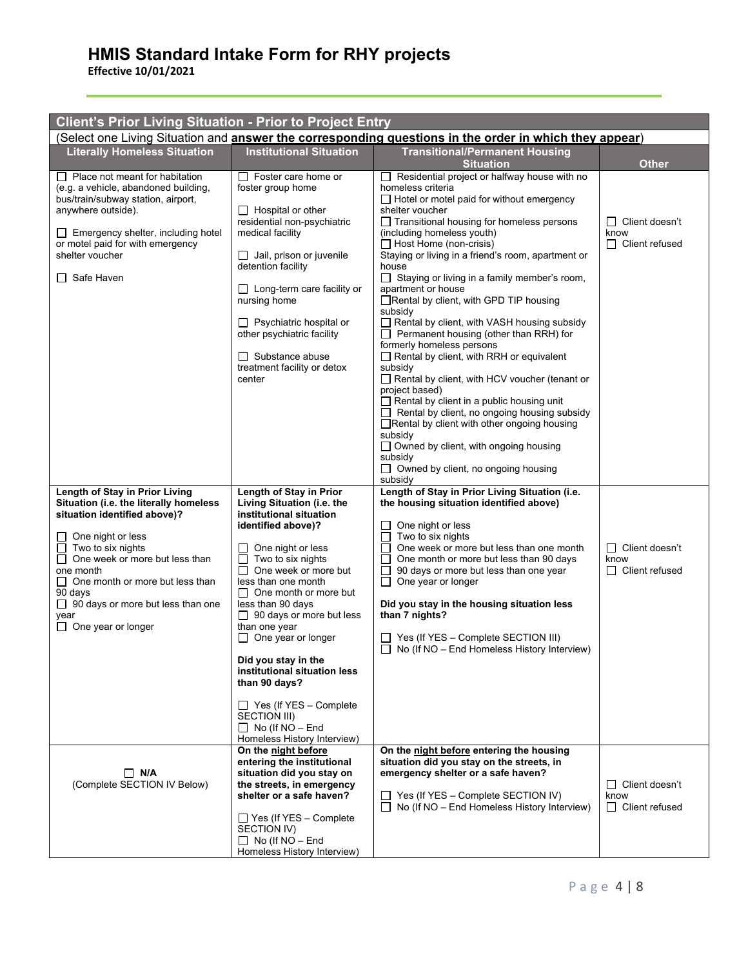| <b>Client's Prior Living Situation - Prior to Project Entry</b>                                                                                                                                                                                                                                                                  |                                                                                                                                                                                                                                                                                                                                                                                                                                                                                                                                              |                                                                                                                                                                                                                                                                                                                                                                                                                                                                                                                                                                                                                                                                                                                                                                                                                                                                                                                                                                                                                         |                                                        |  |  |
|----------------------------------------------------------------------------------------------------------------------------------------------------------------------------------------------------------------------------------------------------------------------------------------------------------------------------------|----------------------------------------------------------------------------------------------------------------------------------------------------------------------------------------------------------------------------------------------------------------------------------------------------------------------------------------------------------------------------------------------------------------------------------------------------------------------------------------------------------------------------------------------|-------------------------------------------------------------------------------------------------------------------------------------------------------------------------------------------------------------------------------------------------------------------------------------------------------------------------------------------------------------------------------------------------------------------------------------------------------------------------------------------------------------------------------------------------------------------------------------------------------------------------------------------------------------------------------------------------------------------------------------------------------------------------------------------------------------------------------------------------------------------------------------------------------------------------------------------------------------------------------------------------------------------------|--------------------------------------------------------|--|--|
| (Select one Living Situation and <b>answer the corresponding questions in the order in which they appear</b> )                                                                                                                                                                                                                   |                                                                                                                                                                                                                                                                                                                                                                                                                                                                                                                                              |                                                                                                                                                                                                                                                                                                                                                                                                                                                                                                                                                                                                                                                                                                                                                                                                                                                                                                                                                                                                                         |                                                        |  |  |
| <b>Literally Homeless Situation</b>                                                                                                                                                                                                                                                                                              | <b>Institutional Situation</b>                                                                                                                                                                                                                                                                                                                                                                                                                                                                                                               | <b>Transitional/Permanent Housing</b><br><b>Situation</b>                                                                                                                                                                                                                                                                                                                                                                                                                                                                                                                                                                                                                                                                                                                                                                                                                                                                                                                                                               | <b>Other</b>                                           |  |  |
| $\Box$ Place not meant for habitation<br>(e.g. a vehicle, abandoned building,<br>bus/train/subway station, airport,<br>anywhere outside).<br>Emergency shelter, including hotel<br>or motel paid for with emergency<br>shelter voucher<br>Safe Haven                                                                             | □ Foster care home or<br>foster group home<br>$\Box$ Hospital or other<br>residential non-psychiatric<br>medical facility<br>$\Box$ Jail, prison or juvenile<br>detention facility<br>$\Box$ Long-term care facility or<br>nursing home<br>$\Box$ Psychiatric hospital or<br>other psychiatric facility<br>$\Box$ Substance abuse<br>treatment facility or detox<br>center                                                                                                                                                                   | Residential project or halfway house with no<br>homeless criteria<br>$\Box$ Hotel or motel paid for without emergency<br>shelter voucher<br>$\Box$ Transitional housing for homeless persons<br>(including homeless youth)<br>$\Box$ Host Home (non-crisis)<br>Staying or living in a friend's room, apartment or<br>house<br>Staying or living in a family member's room,<br>$\Box$<br>apartment or house<br>□Rental by client, with GPD TIP housing<br>subsidy<br>Rental by client, with VASH housing subsidy<br>$\Box$ Permanent housing (other than RRH) for<br>formerly homeless persons<br>$\Box$ Rental by client, with RRH or equivalent<br>subsidy<br>Rental by client, with HCV voucher (tenant or<br>project based)<br>$\Box$ Rental by client in a public housing unit<br>$\Box$ Rental by client, no ongoing housing subsidy<br>Rental by client with other ongoing housing<br>subsidy<br>$\Box$ Owned by client, with ongoing housing<br>subsidy<br>$\Box$ Owned by client, no ongoing housing<br>subsidy | □ Client doesn't<br>know<br>$\Box$ Client refused      |  |  |
| Length of Stay in Prior Living<br>Situation (i.e. the literally homeless<br>situation identified above)?<br>One night or less<br>Two to six nights<br>One week or more but less than<br>one month<br>One month or more but less than<br>90 days<br>$\Box$ 90 days or more but less than one<br>vear<br>$\Box$ One year or longer | Length of Stay in Prior<br>Living Situation (i.e. the<br>institutional situation<br>identified above)?<br>One night or less<br>$\perp$<br>Two to six nights<br>⊔<br>П<br>One week or more but<br>less than one month<br>$\Box$ One month or more but<br>less than 90 days<br>$\Box$ 90 days or more but less<br>than one year<br>$\Box$ One year or longer<br>Did you stay in the<br>institutional situation less<br>than 90 days?<br>$\Box$ Yes (If YES - Complete<br>SECTION III)<br>$\Box$ No (If NO - End<br>Homeless History Interview) | Length of Stay in Prior Living Situation (i.e.<br>the housing situation identified above)<br>One night or less<br>Two to six nights<br>One week or more but less than one month<br>$\perp$<br>One month or more but less than 90 days<br>90 days or more but less than one year<br>$\mathsf{L}$<br>$\Box$ One year or longer<br>Did you stay in the housing situation less<br>than 7 nights?<br>$\Box$ Yes (If YES - Complete SECTION III)<br>$\Box$ No (If NO – End Homeless History Interview)                                                                                                                                                                                                                                                                                                                                                                                                                                                                                                                        | $\Box$ Client doesn't<br>know<br>□ Client refused      |  |  |
| $\Box$ N/A<br>(Complete SECTION IV Below)                                                                                                                                                                                                                                                                                        | On the night before<br>entering the institutional<br>situation did you stay on<br>the streets, in emergency<br>shelter or a safe haven?<br>□ Yes (If YES - Complete<br>SECTION IV)<br>$\Box$ No (If NO – End<br>Homeless History Interview)                                                                                                                                                                                                                                                                                                  | On the night before entering the housing<br>situation did you stay on the streets, in<br>emergency shelter or a safe haven?<br>$\Box$ Yes (If YES – Complete SECTION IV)<br>$\Box$ No (If NO – End Homeless History Interview)                                                                                                                                                                                                                                                                                                                                                                                                                                                                                                                                                                                                                                                                                                                                                                                          | $\Box$ Client doesn't<br>know<br>$\Box$ Client refused |  |  |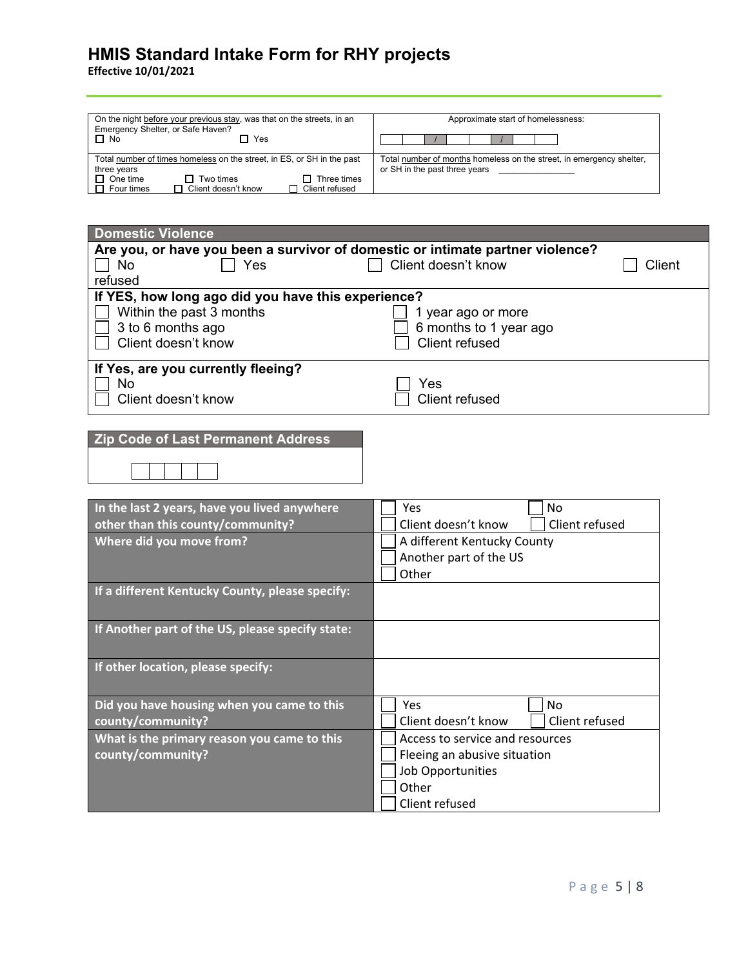| On the night before your previous stay, was that on the streets, in an<br>Emergency Shelter, or Safe Haven? | Approximate start of homelessness:                                                                    |  |  |
|-------------------------------------------------------------------------------------------------------------|-------------------------------------------------------------------------------------------------------|--|--|
| $\Box$ No<br>Yes                                                                                            |                                                                                                       |  |  |
| Total number of times homeless on the street, in ES, or SH in the past<br>three years                       | Total number of months homeless on the street, in emergency shelter,<br>or SH in the past three years |  |  |
| $\Box$ One time<br>Three times<br>Two times<br>Client doesn't know<br>Client refused<br>Four times          |                                                                                                       |  |  |

| <b>Domestic Violence</b>                                                       |                                       |  |  |  |
|--------------------------------------------------------------------------------|---------------------------------------|--|--|--|
| Are you, or have you been a survivor of domestic or intimate partner violence? |                                       |  |  |  |
| <b>No</b><br>Yes                                                               | Client doesn't know<br>Client         |  |  |  |
| refused                                                                        |                                       |  |  |  |
| If YES, how long ago did you have this experience?                             |                                       |  |  |  |
| Within the past 3 months                                                       | 1 year ago or more                    |  |  |  |
| 3 to 6 months ago                                                              | 6 months to 1 year ago                |  |  |  |
| Client doesn't know                                                            | <b>Client refused</b>                 |  |  |  |
|                                                                                |                                       |  |  |  |
| If Yes, are you currently fleeing?                                             |                                       |  |  |  |
| No                                                                             | Yes                                   |  |  |  |
| Client doesn't know                                                            | <b>Client refused</b>                 |  |  |  |
|                                                                                |                                       |  |  |  |
|                                                                                |                                       |  |  |  |
| <b>Zip Code of Last Permanent Address</b>                                      |                                       |  |  |  |
|                                                                                |                                       |  |  |  |
|                                                                                |                                       |  |  |  |
|                                                                                |                                       |  |  |  |
| In the last 2 years, have you lived anywhere                                   | Yes<br>No                             |  |  |  |
| other than this county/community?                                              | Client refused<br>Client doesn't know |  |  |  |
| Where did you move from?                                                       | A different Kentucky County           |  |  |  |
|                                                                                | Another part of the US                |  |  |  |
|                                                                                | Other                                 |  |  |  |
|                                                                                |                                       |  |  |  |
| If a different Kentucky County, please specify:                                |                                       |  |  |  |
|                                                                                |                                       |  |  |  |
| If Another part of the US, please specify state:                               |                                       |  |  |  |
|                                                                                |                                       |  |  |  |
|                                                                                |                                       |  |  |  |
| If other location, please specify:                                             |                                       |  |  |  |
|                                                                                |                                       |  |  |  |
| Did you have housing when you came to this                                     | Yes<br><b>No</b>                      |  |  |  |
| county/community?                                                              | Client refused<br>Client doesn't know |  |  |  |
| What is the primary reason you came to this                                    | Access to service and resources       |  |  |  |
| county/community?                                                              | Fleeing an abusive situation          |  |  |  |
| <b>Job Opportunities</b>                                                       |                                       |  |  |  |
| Other                                                                          |                                       |  |  |  |
|                                                                                |                                       |  |  |  |
|                                                                                | Client refused                        |  |  |  |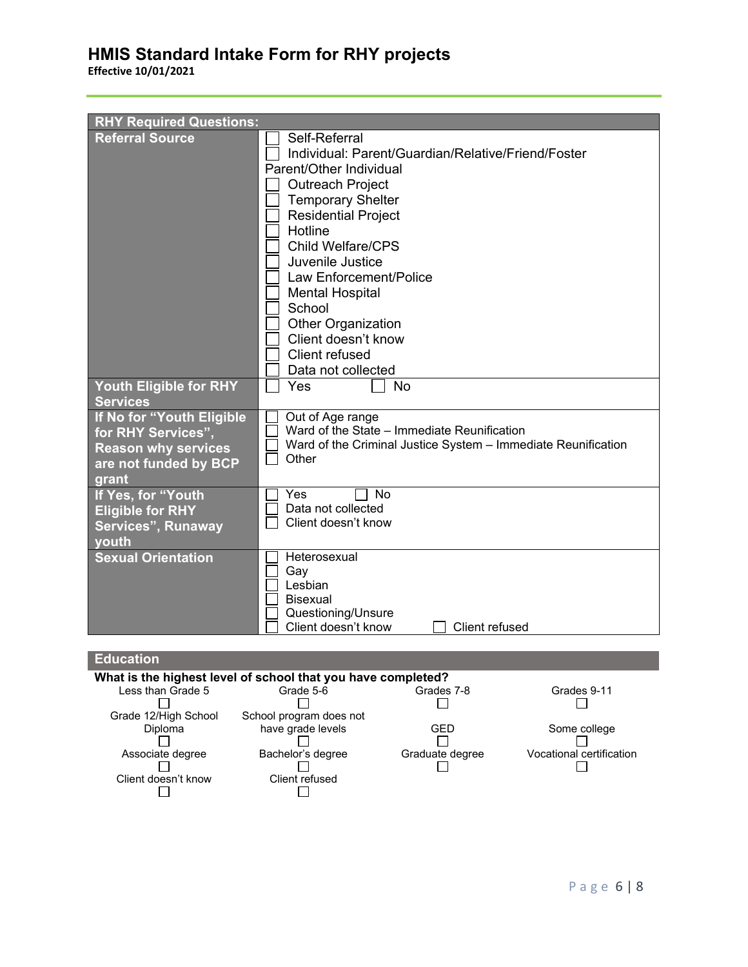**Effective 10/01/2021**

| <b>RHY Required Questions:</b>                                                                                                     |                                                                                                                                                                                                                                                                                                                                                                                                          |
|------------------------------------------------------------------------------------------------------------------------------------|----------------------------------------------------------------------------------------------------------------------------------------------------------------------------------------------------------------------------------------------------------------------------------------------------------------------------------------------------------------------------------------------------------|
| <b>Referral Source</b>                                                                                                             | Self-Referral<br>Individual: Parent/Guardian/Relative/Friend/Foster<br>Parent/Other Individual<br><b>Outreach Project</b><br><b>Temporary Shelter</b><br><b>Residential Project</b><br>Hotline<br><b>Child Welfare/CPS</b><br>Juvenile Justice<br>Law Enforcement/Police<br><b>Mental Hospital</b><br>School<br><b>Other Organization</b><br>Client doesn't know<br>Client refused<br>Data not collected |
| Youth Eligible for RHY                                                                                                             | Yes<br><b>No</b>                                                                                                                                                                                                                                                                                                                                                                                         |
| <b>Services</b><br>If No for "Youth Eligible<br>for RHY Services",<br><b>Reason why services</b><br>are not funded by BCP<br>grant | Out of Age range<br>Ward of the State - Immediate Reunification<br>Ward of the Criminal Justice System - Immediate Reunification<br>Other                                                                                                                                                                                                                                                                |
| If Yes, for "Youth<br><b>Eligible for RHY</b><br>Services", Runaway<br>youth                                                       | No<br>Yes<br>Data not collected<br>Client doesn't know                                                                                                                                                                                                                                                                                                                                                   |
| <b>Sexual Orientation</b>                                                                                                          | Heterosexual<br>Gay<br>Lesbian<br><b>Bisexual</b><br>Questioning/Unsure<br>Client doesn't know<br>Client refused                                                                                                                                                                                                                                                                                         |

#### **Education What is the highest level of school that you have completed?**<br>Less than Grade 5<br>Grade 5-6 Grades 7-8 Less than Grade 5 Grade 5-6 Grades 7-8 Grades 9-11 Grade 12/High School School program does not have grade levels GED Some college<br>
□ GED Some college  $\Box$ Diploma  $\Box$  $\Box$ Associate degree Bachelor's degree Graduate degree Vocational certification<br>  $\square$ Client doesn't know Client refused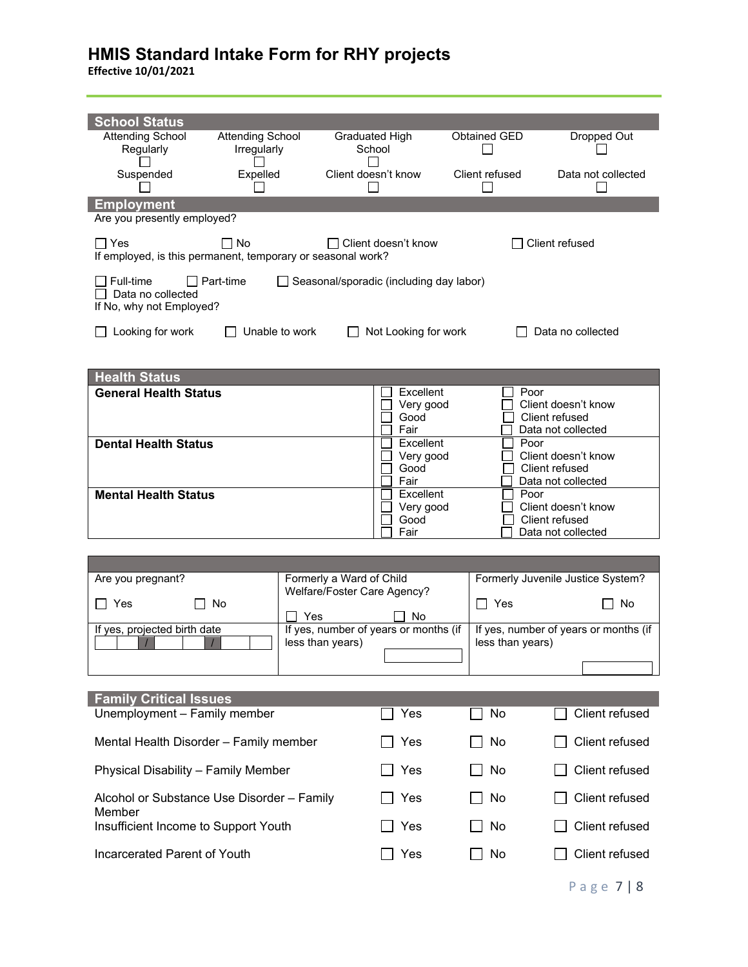| <b>School Status</b><br><b>Attending School</b><br>Regularly                                  | <b>Attending School</b><br>Irregularly |                                                         | Graduated High<br>School                  | <b>Obtained GED</b> | Dropped Out                                                         |
|-----------------------------------------------------------------------------------------------|----------------------------------------|---------------------------------------------------------|-------------------------------------------|---------------------|---------------------------------------------------------------------|
| Suspended                                                                                     | Expelled                               |                                                         | Client doesn't know                       | Client refused      | Data not collected                                                  |
| <b>Employment</b>                                                                             |                                        |                                                         |                                           |                     |                                                                     |
| Are you presently employed?<br>$\Box$ Yes                                                     | ∏ No                                   |                                                         | ∃ Client doesn't know                     |                     | Client refused                                                      |
| If employed, is this permanent, temporary or seasonal work?<br>Full-time<br>Data no collected | $\Box$ Part-time                       |                                                         | □ Seasonal/sporadic (including day labor) |                     |                                                                     |
| If No, why not Employed?                                                                      |                                        |                                                         |                                           |                     |                                                                     |
| Looking for work                                                                              | Unable to work                         |                                                         | Not Looking for work                      |                     | Data no collected                                                   |
| <b>Health Status</b>                                                                          |                                        |                                                         |                                           |                     |                                                                     |
| <b>General Health Status</b>                                                                  |                                        |                                                         | Excellent<br>Very good<br>Good<br>Fair    |                     | Poor<br>Client doesn't know<br>Client refused<br>Data not collected |
| <b>Dental Health Status</b>                                                                   |                                        |                                                         | Excellent<br>Very good<br>Good<br>Fair    |                     | Poor<br>Client doesn't know<br>Client refused<br>Data not collected |
| <b>Mental Health Status</b>                                                                   |                                        |                                                         | Excellent<br>Very good<br>Good<br>Fair    |                     | Poor<br>Client doesn't know<br>Client refused<br>Data not collected |
|                                                                                               |                                        |                                                         |                                           |                     |                                                                     |
| Are you pregnant?<br>Yes<br>$\blacksquare$                                                    | No<br>Yes                              | Formerly a Ward of Child<br>Welfare/Foster Care Agency? | <b>No</b>                                 | Yes<br>l 1          | Formerly Juvenile Justice System?<br>No                             |
| If yes, projected birth date                                                                  |                                        | less than years)                                        | If yes, number of years or months (if     | less than years)    | If yes, number of years or months (if                               |
|                                                                                               |                                        |                                                         |                                           |                     |                                                                     |
| <b>Family Critical Issues</b>                                                                 |                                        |                                                         |                                           |                     |                                                                     |
| Unemployment - Family member                                                                  |                                        |                                                         | Yes                                       | No                  | Client refused                                                      |
| Mental Health Disorder - Family member                                                        |                                        |                                                         | Yes                                       | No                  | Client refused                                                      |
| Physical Disability - Family Member                                                           |                                        | Yes                                                     | No                                        | Client refused      |                                                                     |
| Alcohol or Substance Use Disorder - Family<br>Member                                          |                                        |                                                         | Yes                                       | No                  | Client refused                                                      |
| Insufficient Income to Support Youth                                                          |                                        |                                                         | Yes                                       | No                  | Client refused                                                      |
| Incarcerated Parent of Youth                                                                  |                                        |                                                         | Yes                                       | No                  | Client refused                                                      |